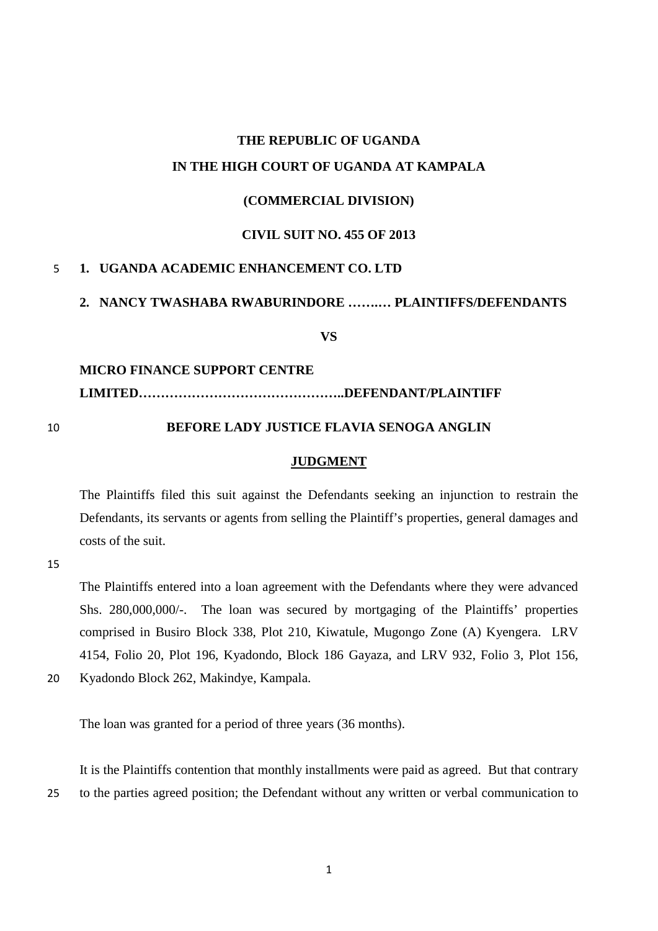# **THE REPUBLIC OF UGANDA IN THE HIGH COURT OF UGANDA AT KAMPALA**

# **(COMMERCIAL DIVISION)**

#### **CIVIL SUIT NO. 455 OF 2013**

#### 5 **1. UGANDA ACADEMIC ENHANCEMENT CO. LTD**

# **2. NANCY TWASHABA RWABURINDORE …….… PLAINTIFFS/DEFENDANTS**

**VS**

#### **MICRO FINANCE SUPPORT CENTRE**

**LIMITED………………………………………..DEFENDANT/PLAINTIFF**

#### 10 **BEFORE LADY JUSTICE FLAVIA SENOGA ANGLIN**

#### **JUDGMENT**

The Plaintiffs filed this suit against the Defendants seeking an injunction to restrain the Defendants, its servants or agents from selling the Plaintiff's properties, general damages and costs of the suit.

15

The Plaintiffs entered into a loan agreement with the Defendants where they were advanced Shs. 280,000,000/-. The loan was secured by mortgaging of the Plaintiffs' properties comprised in Busiro Block 338, Plot 210, Kiwatule, Mugongo Zone (A) Kyengera. LRV 4154, Folio 20, Plot 196, Kyadondo, Block 186 Gayaza, and LRV 932, Folio 3, Plot 156, 20 Kyadondo Block 262, Makindye, Kampala.

The loan was granted for a period of three years (36 months).

It is the Plaintiffs contention that monthly installments were paid as agreed. But that contrary 25 to the parties agreed position; the Defendant without any written or verbal communication to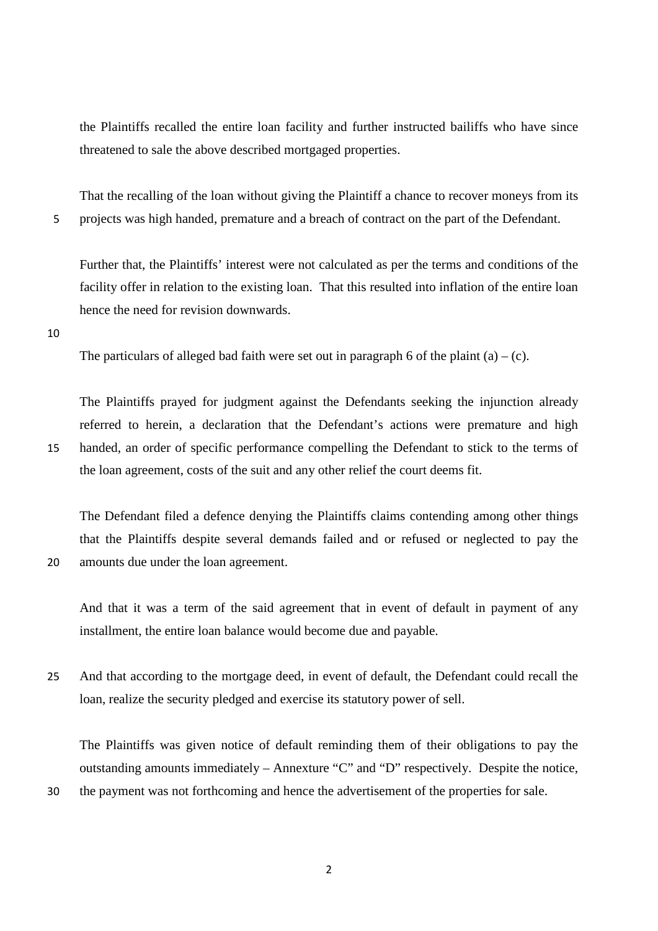the Plaintiffs recalled the entire loan facility and further instructed bailiffs who have since threatened to sale the above described mortgaged properties.

That the recalling of the loan without giving the Plaintiff a chance to recover moneys from its 5 projects was high handed, premature and a breach of contract on the part of the Defendant.

Further that, the Plaintiffs' interest were not calculated as per the terms and conditions of the facility offer in relation to the existing loan. That this resulted into inflation of the entire loan hence the need for revision downwards.

10

The particulars of alleged bad faith were set out in paragraph 6 of the plaint  $(a) - (c)$ .

The Plaintiffs prayed for judgment against the Defendants seeking the injunction already referred to herein, a declaration that the Defendant's actions were premature and high 15 handed, an order of specific performance compelling the Defendant to stick to the terms of the loan agreement, costs of the suit and any other relief the court deems fit.

The Defendant filed a defence denying the Plaintiffs claims contending among other things that the Plaintiffs despite several demands failed and or refused or neglected to pay the 20 amounts due under the loan agreement.

And that it was a term of the said agreement that in event of default in payment of any installment, the entire loan balance would become due and payable.

25 And that according to the mortgage deed, in event of default, the Defendant could recall the loan, realize the security pledged and exercise its statutory power of sell.

The Plaintiffs was given notice of default reminding them of their obligations to pay the outstanding amounts immediately – Annexture "C" and "D" respectively. Despite the notice, 30 the payment was not forthcoming and hence the advertisement of the properties for sale.

2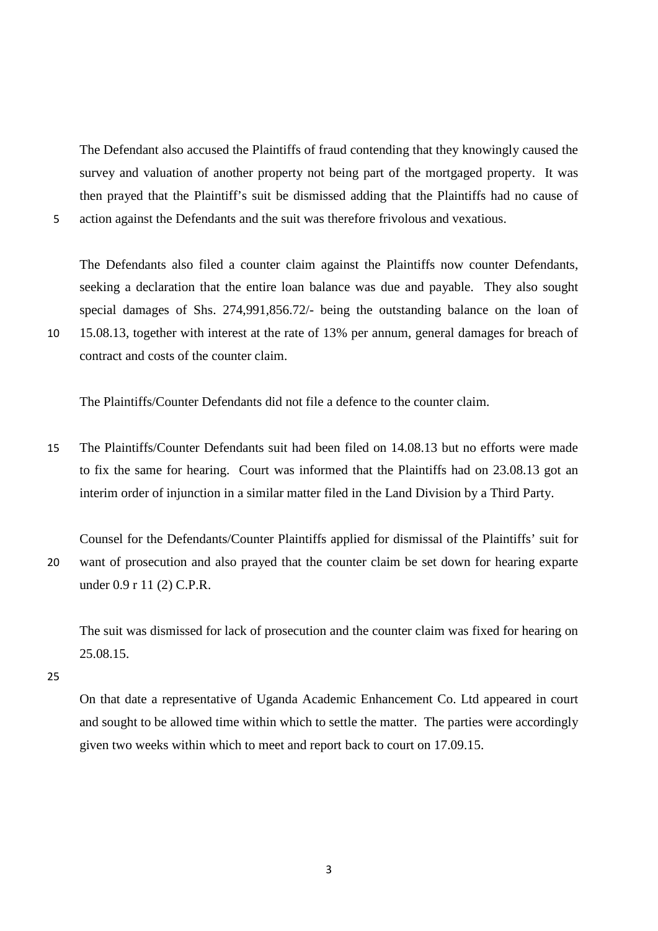The Defendant also accused the Plaintiffs of fraud contending that they knowingly caused the survey and valuation of another property not being part of the mortgaged property. It was then prayed that the Plaintiff's suit be dismissed adding that the Plaintiffs had no cause of 5 action against the Defendants and the suit was therefore frivolous and vexatious.

The Defendants also filed a counter claim against the Plaintiffs now counter Defendants, seeking a declaration that the entire loan balance was due and payable. They also sought special damages of Shs. 274,991,856.72/- being the outstanding balance on the loan of 10 15.08.13, together with interest at the rate of 13% per annum, general damages for breach of contract and costs of the counter claim.

The Plaintiffs/Counter Defendants did not file a defence to the counter claim.

- 15 The Plaintiffs/Counter Defendants suit had been filed on 14.08.13 but no efforts were made to fix the same for hearing. Court was informed that the Plaintiffs had on 23.08.13 got an interim order of injunction in a similar matter filed in the Land Division by a Third Party.
- Counsel for the Defendants/Counter Plaintiffs applied for dismissal of the Plaintiffs' suit for 20 want of prosecution and also prayed that the counter claim be set down for hearing exparte under 0.9 r 11 (2) C.P.R.

The suit was dismissed for lack of prosecution and the counter claim was fixed for hearing on 25.08.15.

25

On that date a representative of Uganda Academic Enhancement Co. Ltd appeared in court and sought to be allowed time within which to settle the matter. The parties were accordingly given two weeks within which to meet and report back to court on 17.09.15.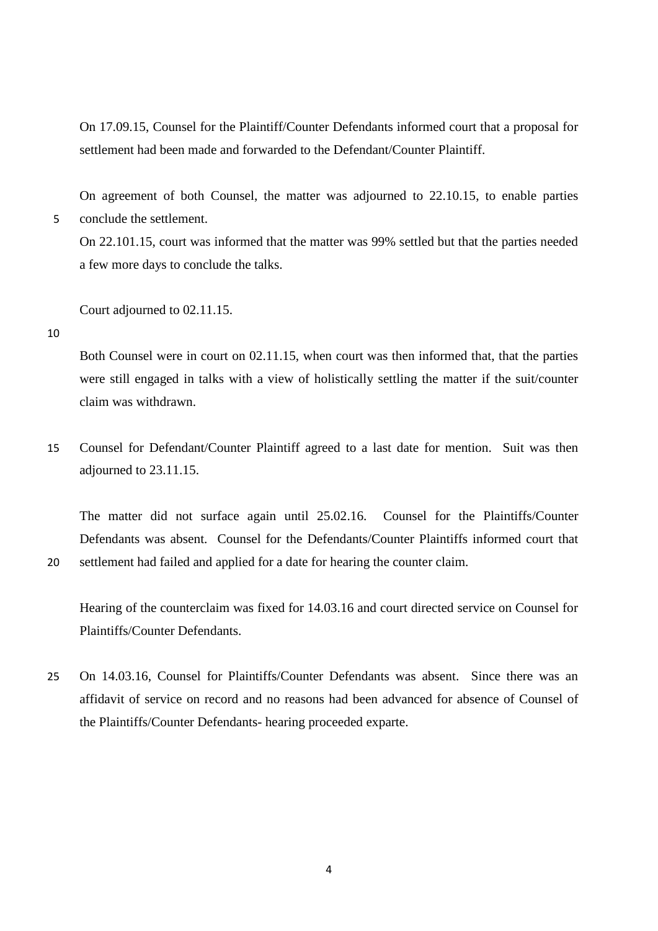On 17.09.15, Counsel for the Plaintiff/Counter Defendants informed court that a proposal for settlement had been made and forwarded to the Defendant/Counter Plaintiff.

On agreement of both Counsel, the matter was adjourned to 22.10.15, to enable parties 5 conclude the settlement.

On 22.101.15, court was informed that the matter was 99% settled but that the parties needed a few more days to conclude the talks.

Court adjourned to 02.11.15.

10

Both Counsel were in court on 02.11.15, when court was then informed that, that the parties were still engaged in talks with a view of holistically settling the matter if the suit/counter claim was withdrawn.

15 Counsel for Defendant/Counter Plaintiff agreed to a last date for mention. Suit was then adjourned to 23.11.15.

The matter did not surface again until 25.02.16. Counsel for the Plaintiffs/Counter Defendants was absent. Counsel for the Defendants/Counter Plaintiffs informed court that 20 settlement had failed and applied for a date for hearing the counter claim.

Hearing of the counterclaim was fixed for 14.03.16 and court directed service on Counsel for Plaintiffs/Counter Defendants.

25 On 14.03.16, Counsel for Plaintiffs/Counter Defendants was absent. Since there was an affidavit of service on record and no reasons had been advanced for absence of Counsel of the Plaintiffs/Counter Defendants- hearing proceeded exparte.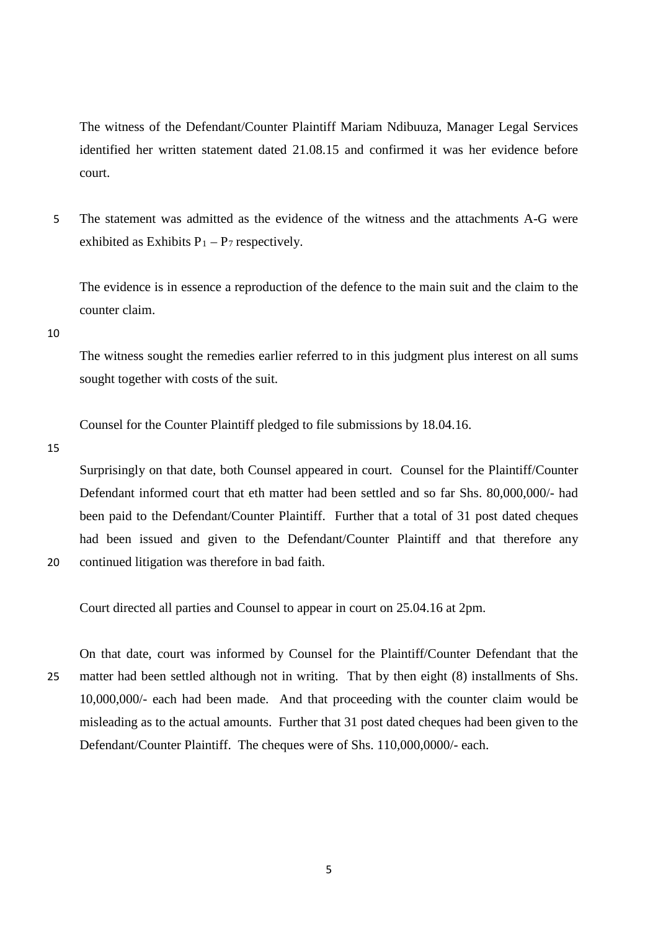The witness of the Defendant/Counter Plaintiff Mariam Ndibuuza, Manager Legal Services identified her written statement dated 21.08.15 and confirmed it was her evidence before court.

5 The statement was admitted as the evidence of the witness and the attachments A-G were exhibited as Exhibits  $P_1 - P_7$  respectively.

The evidence is in essence a reproduction of the defence to the main suit and the claim to the counter claim.

10

The witness sought the remedies earlier referred to in this judgment plus interest on all sums sought together with costs of the suit.

Counsel for the Counter Plaintiff pledged to file submissions by 18.04.16.

15

Surprisingly on that date, both Counsel appeared in court. Counsel for the Plaintiff/Counter Defendant informed court that eth matter had been settled and so far Shs. 80,000,000/- had been paid to the Defendant/Counter Plaintiff. Further that a total of 31 post dated cheques had been issued and given to the Defendant/Counter Plaintiff and that therefore any 20 continued litigation was therefore in bad faith.

Court directed all parties and Counsel to appear in court on 25.04.16 at 2pm.

On that date, court was informed by Counsel for the Plaintiff/Counter Defendant that the 25 matter had been settled although not in writing. That by then eight (8) installments of Shs. 10,000,000/- each had been made. And that proceeding with the counter claim would be misleading as to the actual amounts. Further that 31 post dated cheques had been given to the Defendant/Counter Plaintiff. The cheques were of Shs. 110,000,0000/- each.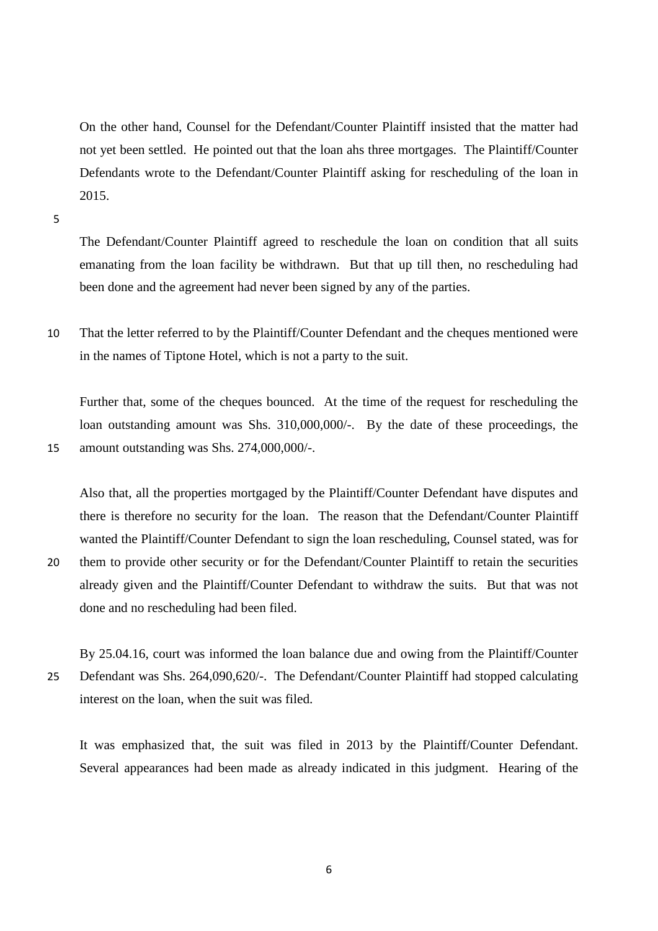On the other hand, Counsel for the Defendant/Counter Plaintiff insisted that the matter had not yet been settled. He pointed out that the loan ahs three mortgages. The Plaintiff/Counter Defendants wrote to the Defendant/Counter Plaintiff asking for rescheduling of the loan in 2015.

5

The Defendant/Counter Plaintiff agreed to reschedule the loan on condition that all suits emanating from the loan facility be withdrawn. But that up till then, no rescheduling had been done and the agreement had never been signed by any of the parties.

10 That the letter referred to by the Plaintiff/Counter Defendant and the cheques mentioned were in the names of Tiptone Hotel, which is not a party to the suit.

Further that, some of the cheques bounced. At the time of the request for rescheduling the loan outstanding amount was Shs. 310,000,000/-. By the date of these proceedings, the 15 amount outstanding was Shs. 274,000,000/-.

Also that, all the properties mortgaged by the Plaintiff/Counter Defendant have disputes and there is therefore no security for the loan. The reason that the Defendant/Counter Plaintiff wanted the Plaintiff/Counter Defendant to sign the loan rescheduling, Counsel stated, was for 20 them to provide other security or for the Defendant/Counter Plaintiff to retain the securities

- already given and the Plaintiff/Counter Defendant to withdraw the suits. But that was not done and no rescheduling had been filed.
- By 25.04.16, court was informed the loan balance due and owing from the Plaintiff/Counter 25 Defendant was Shs. 264,090,620/-. The Defendant/Counter Plaintiff had stopped calculating interest on the loan, when the suit was filed.

It was emphasized that, the suit was filed in 2013 by the Plaintiff/Counter Defendant. Several appearances had been made as already indicated in this judgment. Hearing of the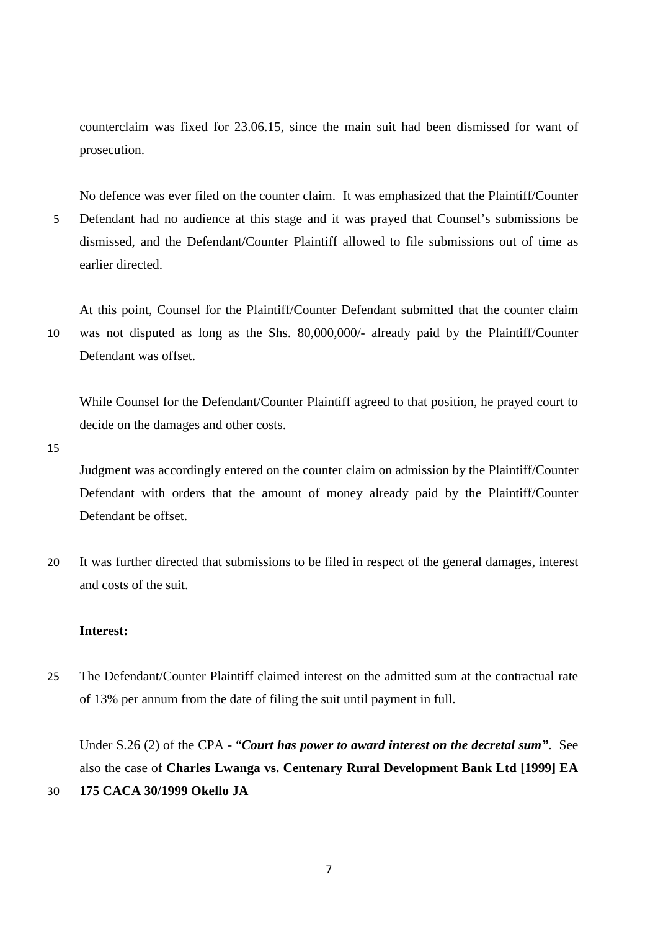counterclaim was fixed for 23.06.15, since the main suit had been dismissed for want of prosecution.

No defence was ever filed on the counter claim. It was emphasized that the Plaintiff/Counter 5 Defendant had no audience at this stage and it was prayed that Counsel's submissions be dismissed, and the Defendant/Counter Plaintiff allowed to file submissions out of time as earlier directed.

At this point, Counsel for the Plaintiff/Counter Defendant submitted that the counter claim 10 was not disputed as long as the Shs. 80,000,000/- already paid by the Plaintiff/Counter Defendant was offset.

While Counsel for the Defendant/Counter Plaintiff agreed to that position, he prayed court to decide on the damages and other costs.

15

Judgment was accordingly entered on the counter claim on admission by the Plaintiff/Counter Defendant with orders that the amount of money already paid by the Plaintiff/Counter Defendant be offset.

20 It was further directed that submissions to be filed in respect of the general damages, interest and costs of the suit.

# **Interest:**

25 The Defendant/Counter Plaintiff claimed interest on the admitted sum at the contractual rate of 13% per annum from the date of filing the suit until payment in full.

Under S.26 (2) of the CPA - "*Court has power to award interest on the decretal sum"*. See also the case of **Charles Lwanga vs. Centenary Rural Development Bank Ltd [1999] EA**  30 **175 CACA 30/1999 Okello JA**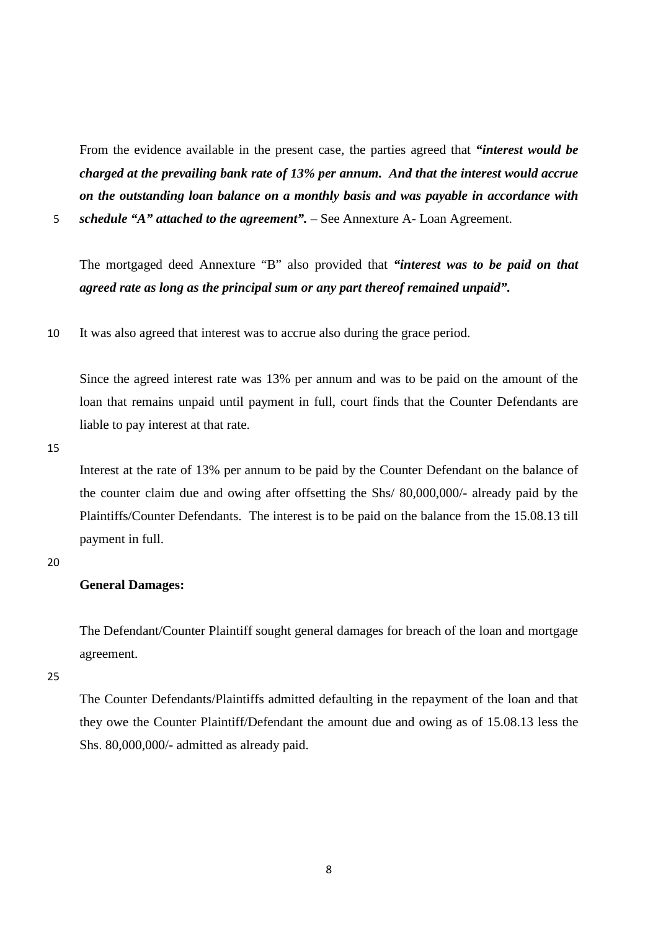From the evidence available in the present case, the parties agreed that *"interest would be charged at the prevailing bank rate of 13% per annum. And that the interest would accrue on the outstanding loan balance on a monthly basis and was payable in accordance with* 

5 *schedule "A" attached to the agreement".* – See Annexture A- Loan Agreement.

The mortgaged deed Annexture "B" also provided that *"interest was to be paid on that agreed rate as long as the principal sum or any part thereof remained unpaid".* 

10 It was also agreed that interest was to accrue also during the grace period.

Since the agreed interest rate was 13% per annum and was to be paid on the amount of the loan that remains unpaid until payment in full, court finds that the Counter Defendants are liable to pay interest at that rate.

15

Interest at the rate of 13% per annum to be paid by the Counter Defendant on the balance of the counter claim due and owing after offsetting the Shs/ 80,000,000/- already paid by the Plaintiffs/Counter Defendants. The interest is to be paid on the balance from the 15.08.13 till payment in full.

20

# **General Damages:**

The Defendant/Counter Plaintiff sought general damages for breach of the loan and mortgage agreement.

25

The Counter Defendants/Plaintiffs admitted defaulting in the repayment of the loan and that they owe the Counter Plaintiff/Defendant the amount due and owing as of 15.08.13 less the Shs. 80,000,000/- admitted as already paid.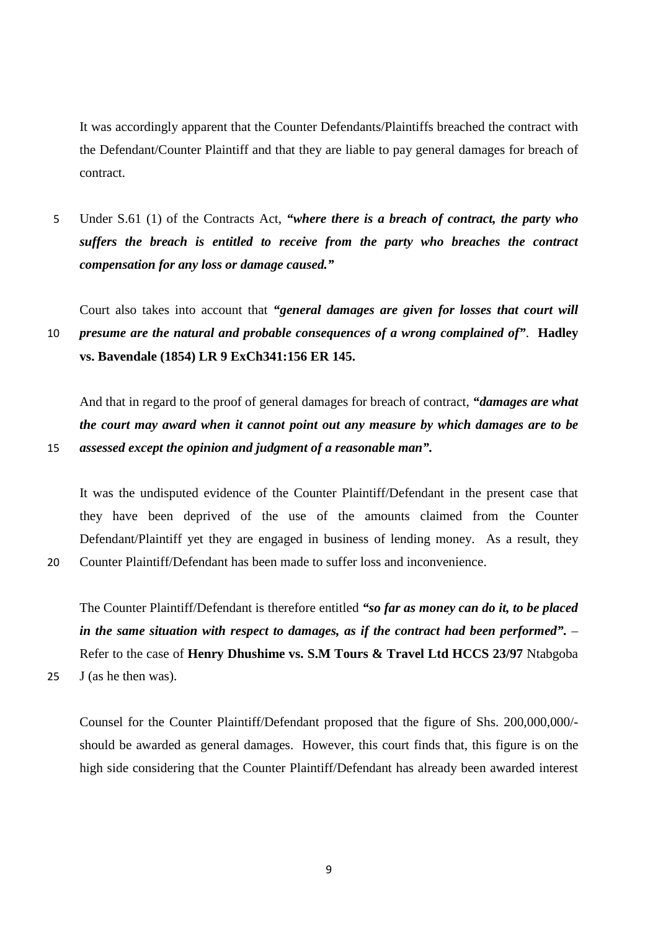It was accordingly apparent that the Counter Defendants/Plaintiffs breached the contract with the Defendant/Counter Plaintiff and that they are liable to pay general damages for breach of contract.

5 Under S.61 (1) of the Contracts Act, *"where there is a breach of contract, the party who suffers the breach is entitled to receive from the party who breaches the contract compensation for any loss or damage caused."*

Court also takes into account that *"general damages are given for losses that court will*  10 *presume are the natural and probable consequences of a wrong complained of"*. **Hadley vs. Bavendale (1854) LR 9 ExCh341:156 ER 145.**

And that in regard to the proof of general damages for breach of contract, *"damages are what the court may award when it cannot point out any measure by which damages are to be*  15 *assessed except the opinion and judgment of a reasonable man".*

It was the undisputed evidence of the Counter Plaintiff/Defendant in the present case that they have been deprived of the use of the amounts claimed from the Counter Defendant/Plaintiff yet they are engaged in business of lending money. As a result, they

20 Counter Plaintiff/Defendant has been made to suffer loss and inconvenience.

The Counter Plaintiff/Defendant is therefore entitled *"so far as money can do it, to be placed in the same situation with respect to damages, as if the contract had been performed".* – Refer to the case of **Henry Dhushime vs. S.M Tours & Travel Ltd HCCS 23/97** Ntabgoba

25 J (as he then was).

Counsel for the Counter Plaintiff/Defendant proposed that the figure of Shs. 200,000,000/ should be awarded as general damages. However, this court finds that, this figure is on the high side considering that the Counter Plaintiff/Defendant has already been awarded interest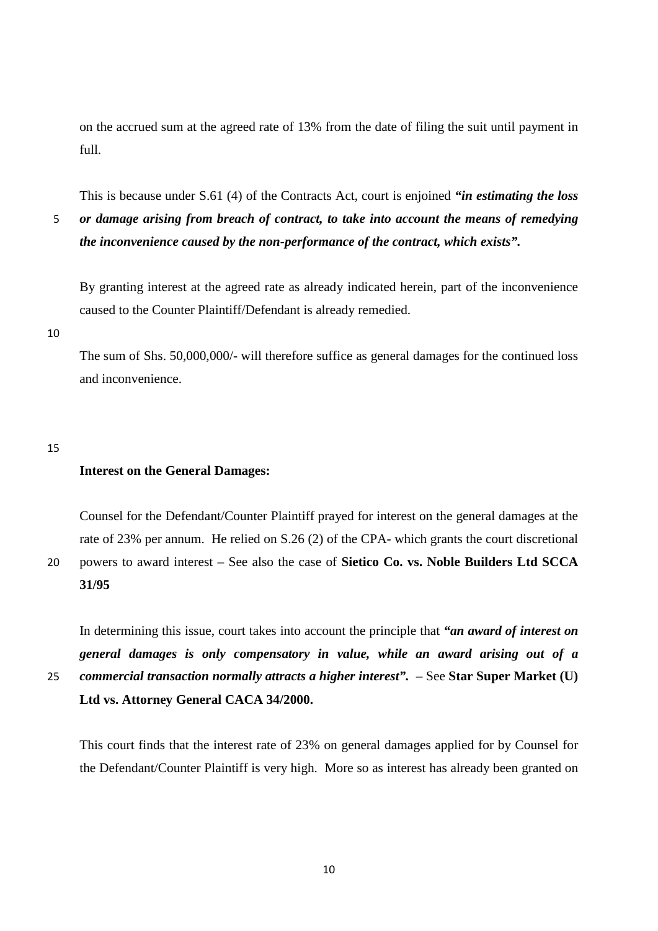on the accrued sum at the agreed rate of 13% from the date of filing the suit until payment in full.

This is because under S.61 (4) of the Contracts Act, court is enjoined *"in estimating the loss*  5 *or damage arising from breach of contract, to take into account the means of remedying the inconvenience caused by the non-performance of the contract, which exists".*

By granting interest at the agreed rate as already indicated herein, part of the inconvenience caused to the Counter Plaintiff/Defendant is already remedied.

10

The sum of Shs. 50,000,000/- will therefore suffice as general damages for the continued loss and inconvenience.

15

### **Interest on the General Damages:**

Counsel for the Defendant/Counter Plaintiff prayed for interest on the general damages at the rate of 23% per annum. He relied on S.26 (2) of the CPA- which grants the court discretional 20 powers to award interest – See also the case of **Sietico Co. vs. Noble Builders Ltd SCCA 31/95**

In determining this issue, court takes into account the principle that *"an award of interest on general damages is only compensatory in value, while an award arising out of a*  25 *commercial transaction normally attracts a higher interest".* – See **Star Super Market (U) Ltd vs. Attorney General CACA 34/2000.**

This court finds that the interest rate of 23% on general damages applied for by Counsel for the Defendant/Counter Plaintiff is very high. More so as interest has already been granted on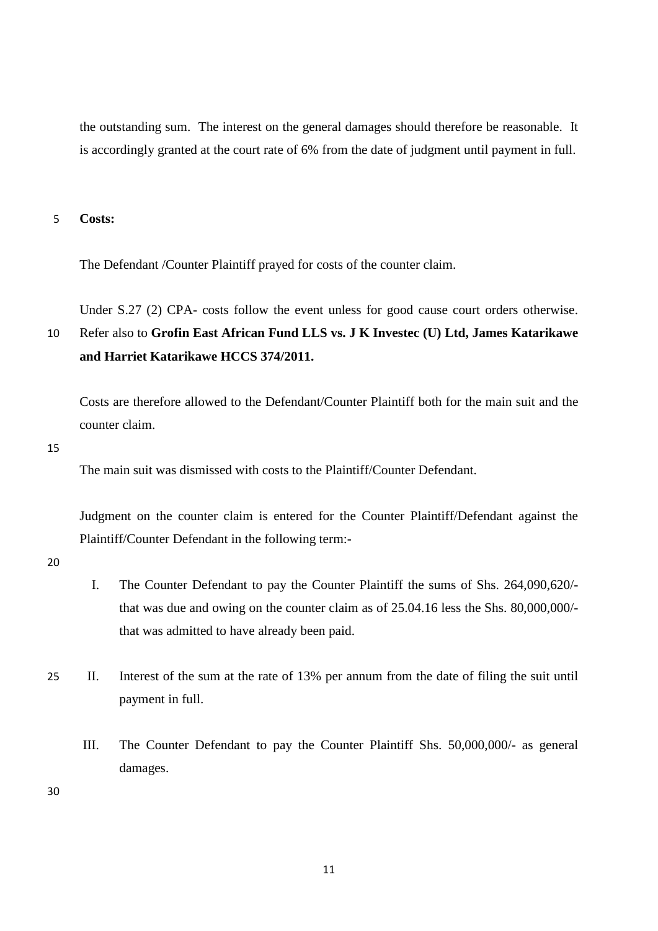the outstanding sum. The interest on the general damages should therefore be reasonable. It is accordingly granted at the court rate of 6% from the date of judgment until payment in full.

5 **Costs:**

The Defendant /Counter Plaintiff prayed for costs of the counter claim.

Under S.27 (2) CPA- costs follow the event unless for good cause court orders otherwise. 10 Refer also to **Grofin East African Fund LLS vs. J K Investec (U) Ltd, James Katarikawe and Harriet Katarikawe HCCS 374/2011.**

Costs are therefore allowed to the Defendant/Counter Plaintiff both for the main suit and the counter claim.

15

The main suit was dismissed with costs to the Plaintiff/Counter Defendant.

Judgment on the counter claim is entered for the Counter Plaintiff/Defendant against the Plaintiff/Counter Defendant in the following term:-

20

- I. The Counter Defendant to pay the Counter Plaintiff the sums of Shs. 264,090,620/ that was due and owing on the counter claim as of 25.04.16 less the Shs. 80,000,000/ that was admitted to have already been paid.
- 25 II. Interest of the sum at the rate of 13% per annum from the date of filing the suit until payment in full.
	- III. The Counter Defendant to pay the Counter Plaintiff Shs. 50,000,000/- as general damages.

30